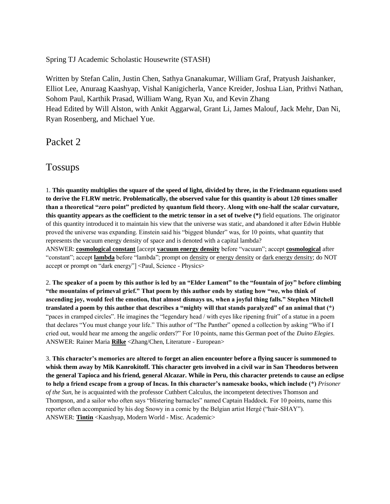Spring TJ Academic Scholastic Housewrite (STASH)

Written by Stefan Calin, Justin Chen, Sathya Gnanakumar, William Graf, Pratyush Jaishanker, Elliot Lee, Anuraag Kaashyap, Vishal Kanigicherla, Vance Kreider, Joshua Lian, Prithvi Nathan, Sohom Paul, Karthik Prasad, William Wang, Ryan Xu, and Kevin Zhang Head Edited by Will Alston, with Ankit Aggarwal, Grant Li, James Malouf, Jack Mehr, Dan Ni, Ryan Rosenberg, and Michael Yue.

Packet 2

Tossups

1. **This quantity multiplies the square of the speed of light, divided by three, in the Friedmann equations used to derive the FLRW metric. Problematically, the observed value for this quantity is about 120 times smaller than a theoretical "zero point" predicted by quantum field theory. Along with one-half the scalar curvature, this quantity appears as the coefficient to the metric tensor in a set of twelve (\*)** field equations. The originator of this quantity introduced it to maintain his view that the universe was static, and abandoned it after Edwin Hubble proved the universe was expanding. Einstein said his "biggest blunder" was, for 10 points, what quantity that represents the vacuum energy density of space and is denoted with a capital lambda?

ANSWER: **cosmological constant** [accept **vacuum energy density** before "vacuum"; accept **cosmological** after "constant"; accept **lambda** before "lambda"; prompt on density or energy density or dark energy density; do NOT accept or prompt on "dark energy"] <Paul, Science - Physics>

2. **The speaker of a poem by this author is led by an "Elder Lament" to the "fountain of joy" before climbing "the mountains of primeval grief." That poem by this author ends by stating how "we, who think of ascending joy, would feel the emotion, that almost dismays us, when a joyful thing falls." Stephen Mitchell translated a poem by this author that describes a "mighty will that stands paralyzed" of an animal that (\*)**  "paces in cramped circles". He imagines the "legendary head / with eyes like ripening fruit" of a statue in a poem that declares "You must change your life." This author of "The Panther" opened a collection by asking "Who if I cried out, would hear me among the angelic orders?" For 10 points, name this German poet of the *Duino Elegies*. ANSWER: Rainer Maria **Rilke** <Zhang/Chen, Literature - European>

3. **This character's memories are altered to forget an alien encounter before a flying saucer is summoned to whisk them away by Mik Kanrokitoff. This character gets involved in a civil war in San Theodoros between the general Tapioca and his friend, general Alcazar. While in Peru, this character pretends to cause an eclipse to help a friend escape from a group of Incas. In this character's namesake books, which include (\*)** *Prisoner of the Sun*, he is acquainted with the professor Cuthbert Calculus, the incompetent detectives Thomson and Thompson, and a sailor who often says "blistering barnacles" named Captain Haddock. For 10 points, name this reporter often accompanied by his dog Snowy in a comic by the Belgian artist Hergé ("hair-SHAY"). ANSWER: **Tintin** <Kaashyap, Modern World - Misc. Academic>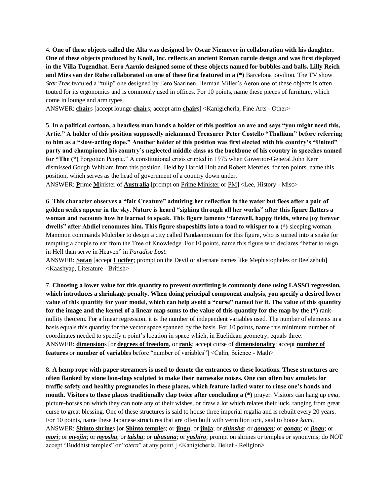4. **One of these objects called the Alta was designed by Oscar Niemeyer in collaboration with his daughter. One of these objects produced by Knoll, Inc. reflects an ancient Roman curule design and was first displayed in the Villa Tugendhat. Eero Aarnio designed some of these objects named for bubbles and balls. Lilly Reich and Mies van der Rohe collaborated on one of these first featured in a (\*)** Barcelona pavilion. The TV show *Star Trek* featured a "tulip" one designed by Eero Saarinen. Herman Miller's Aeron one of these objects is often touted for its ergonomics and is commonly used in offices. For 10 points, name these pieces of furniture, which come in lounge and arm types.

ANSWER: **chair**s [accept lounge **chair**s; accept arm **chair**s] <Kanigicherla, Fine Arts - Other>

5. **In a political cartoon, a headless man hands a holder of this position an axe and says "you might need this, Artie." A holder of this position supposedly nicknamed Treasurer Peter Costello "Thallium" before referring to him as a "slow-acting dope." Another holder of this position was first elected with his country's "United" party and championed his country's neglected middle class as the backbone of his country in speeches named for "The (\*)** Forgotten People." A constitutional crisis erupted in 1975 when Governor-General John Kerr dismissed Gough Whitlam from this position. Held by Harold Holt and Robert Menzies, for ten points, name this position, which serves as the head of government of a country down under.

ANSWER: **P**rime **M**inister of **Australia** [prompt on Prime Minister or PM] <Lee, History - Misc>

6. **This character observes a "fair Creature" admiring her reflection in the water but flees after a pair of golden scales appear in the sky. Nature is heard "sighing through all her works" after this figure flatters a woman and recounts how he learned to speak. This figure laments "farewell, happy fields, where joy forever dwells" after Abdiel renounces him. This figure shapeshifts into a toad to whisper to a (\*)** sleeping woman. Mammon commands Mulciber to design a city called Pandaemonium for this figure, who is turned into a snake for tempting a couple to eat from the Tree of Knowledge. For 10 points, name this figure who declares "better to reign in Hell than serve in Heaven" in *Paradise Lost*.

ANSWER: **Satan** [accept **Lucifer**; prompt on the Devil or alternate names like Mephistopheles or Beelzebub] <Kaashyap, Literature - British>

7. **Choosing a lower value for this quantity to prevent overfitting is commonly done using LASSO regression, which introduces a shrinkage penalty. When doing principal component analysis, you specify a desired lower value of this quantity for your model, which can help avoid a "curse" named for it. The value of this quantity for the image and the kernel of a linear map sums to the value of this quantity for the map by the (\*)** ranknullity theorem. For a linear regression, it is the number of independent variables used. The number of elements in a basis equals this quantity for the vector space spanned by the basis. For 10 points, name this minimum number of coordinates needed to specify a point's location in space which, in Euclidean geometry, equals three. ANSWER: **dimension**s [or **degrees of freedom**, or **rank**; accept curse of **dimensionality**; accept **number of features** or **number of variable**s before "number of variables"] <Calin, Science - Math>

8. **A hemp rope with paper streamers is used to denote the entrances to these locations. These structures are often flanked by stone lion-dogs sculpted to make their namesake noises. One can often buy amulets for traffic safety and healthy pregnancies in these places, which feature ladled water to rinse one's hands and mouth. Visitors to these places traditionally clap twice after concluding a (\*)** prayer. Visitors can hang up *ema*, picture-horses on which they can note any of their wishes, or draw a lot which relates their luck, ranging from great curse to great blessing. One of these structures is said to house three imperial regalia and is rebuilt every 20 years. For 10 points, name these Japanese structures that are often built with vermilion torii, said to house *kami*. ANSWER: **Shinto shrine**s [or **Shinto temple**s; or **jingu**; or **jinja**; or *shinsha*; or *gongen*; or *gongu*; or *jingu*; or *mori*; or *myojin*; or *myosha*; or *taisha*; or *ubusuna*; or *yashiro*; prompt on shrines or temples or synonyms; do NOT accept "Buddhist temples" or "*otera*" at any point ] <Kanigicherla, Belief - Religion>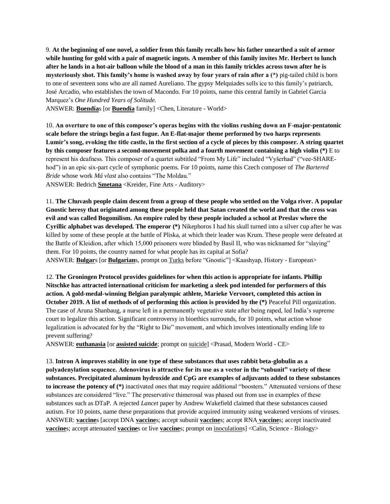9. **At the beginning of one novel, a soldier from this family recalls how his father unearthed a suit of armor while hunting for gold with a pair of magnetic ingots. A member of this family invites Mr. Herbert to lunch after he lands in a hot-air balloon while the blood of a man in this family trickles across town after he is mysteriously shot. This family's home is washed away by four years of rain after a (\*)** pig-tailed child is born to one of seventeen sons who are all named Aureliano. The gypsy Melquiades sells ice to this family's patriarch, José Arcadio, who establishes the town of Macondo. For 10 points, name this central family in Gabriel Garcia Marquez's *One Hundred Years of Solitude.*

ANSWER: **Buendía**s [or **Buendía** family] <Chen, Literature - World>

10. **An overture to one of this composer's operas begins with the violins rushing down an F-major-pentatonic scale before the strings begin a fast fugue. An E-flat-major theme performed by two harps represents Lumír's song, evoking the title castle, in the first section of a cycle of pieces by this composer. A string quartet by this composer features a second-movement polka and a fourth movement containing a high violin (\*)** E to represent his deafness. This composer of a quartet subtitled "From My Life" included "Vyšerhad" ("vee-SHAREhod") in an epic six-part cycle of symphonic poems. For 10 points, name this Czech composer of *The Bartered Bride* whose work *Má vlast* also contains "The Moldau."

ANSWER: Bedrich **Smetana** <Kreider, Fine Arts - Auditory>

11. **The Chuvash people claim descent from a group of these people who settled on the Volga river. A popular Gnostic heresy that originated among these people held that Satan created the world and that the cross was evil and was called Bogomilism. An empire ruled by these people included a school at Preslav where the Cyrillic alphabet was developed. The emperor (\*)** Nikephoros I had his skull turned into a silver cup after he was killed by some of these people at the battle of Pliska, at which their leader was Krum. These people were defeated at the Battle of Kleidion, after which 15,000 prisoners were blinded by Basil II, who was nicknamed for "slaying" them. For 10 points, the country named for what people has its capital at Sofia? ANSWER: **Bulgar**s [or **Bulgarian**s, prompt on Turks before "Gnostic"] <Kaashyap, History - European>

12. **The Groningen Protocol provides guidelines for when this action is appropriate for infants. Phillip Nitschke has attracted international criticism for marketing a sleek pod intended for performers of this action. A gold-medal-winning Belgian paralympic athlete, Marieke Vervoort, completed this action in October 2019. A list of methods of of performing this action is provided by the (\*)** Peaceful Pill organization. The case of Aruna Shanbaug, a nurse left in a permanently vegetative state after being raped, led India's supreme court to legalize this action. Significant controversy in bioethics surrounds, for 10 points, what action whose legalization is advocated for by the "Right to Die" movement, and which involves intentionally ending life to prevent suffering?

ANSWER: **euthanasia** [or **assisted suicide**; prompt on suicide] <Prasad, Modern World - CE>

13. **Intron A improves stability in one type of these substances that uses rabbit beta-globulin as a polyadenylation sequence. Adenovirus is attractive for its use as a vector in the "subunit" variety of these substances. Precipitated aluminum hydroxide and CpG are examples of adjuvants added to these substances to increase the potency of (\*)** inactivated ones that may require additional "boosters." Attenuated versions of these substances are considered "live." The preservative thimerosal was phased out from use in examples of these substances such as DTaP. A rejected *Lancet* paper by Andrew Wakefield claimed that these substances caused autism. For 10 points, name these preparations that provide acquired immunity using weakened versions of viruses. ANSWER: **vaccine**s [accept DNA **vaccine**s; accept subunit **vaccine**s; accept RNA **vaccine**s; accept inactivated **vaccines**; accept attenuated **vaccines** or live **vaccines**; prompt on inoculations] <Calin, Science - Biology>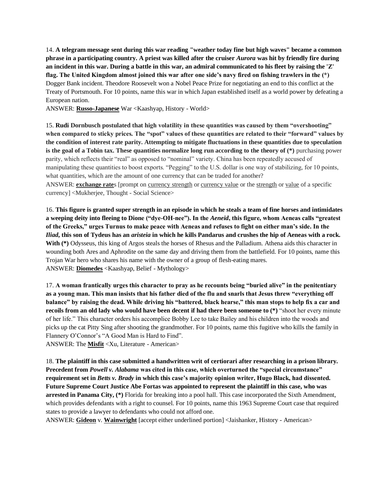14. **A telegram message sent during this war reading "weather today fine but high waves" became a common phrase in a participating country. A priest was killed after the cruiser** *Aurora* **was hit by friendly fire during an incident in this war. During a battle in this war, an admiral communicated to his fleet by raising the 'Z' flag. The United Kingdom almost joined this war after one side's navy fired on fishing trawlers in the (\*)**  Dogger Bank incident. Theodore Roosevelt won a Nobel Peace Prize for negotiating an end to this conflict at the Treaty of Portsmouth. For 10 points, name this war in which Japan established itself as a world power by defeating a European nation.

ANSWER: **Russo-Japanese** War <Kaashyap, History - World>

15. **Rudi Dornbusch postulated that high volatility in these quantities was caused by them "overshooting" when compared to sticky prices. The "spot" values of these quantities are related to their "forward" values by the condition of interest rate parity. Attempting to mitigate fluctuations in these quantities due to speculation is the goal of a Tobin tax. These quantities normalize long run according to the theory of (\*)** purchasing power parity, which reflects their "real" as opposed to "nominal" variety. China has been repeatedly accused of manipulating these quantities to boost exports. "Pegging" to the U.S. dollar is one way of stabilizing, for 10 points, what quantities, which are the amount of one currency that can be traded for another?

ANSWER: **exchange rate**s [prompt on currency strength or currency value or the strength or value of a specific currency] <Mukherjee, Thought - Social Science>

16. **This figure is granted super strength in an episode in which he steals a team of fine horses and intimidates a weeping deity into fleeing to Dione ("dye-OH-nee"). In the** *Aeneid***, this figure, whom Aeneas calls "greatest of the Greeks," urges Turnus to make peace with Aeneas and refuses to fight on either man's side. In the**  *Iliad***, this son of Tydeus has an** *aristeia* **in which he kills Pandarus and crushes the hip of Aeneas with a rock. With (\*)** Odysseus, this king of Argos steals the horses of Rhesus and the Palladium. Athena aids this character in wounding both Ares and Aphrodite on the same day and driving them from the battlefield. For 10 points, name this Trojan War hero who shares his name with the owner of a group of flesh-eating mares. ANSWER: **Diomedes** <Kaashyap, Belief - Mythology>

17. **A woman frantically urges this character to pray as he recounts being "buried alive" in the penitentiary as a young man. This man insists that his father died of the flu and snarls that Jesus threw "everything off balance" by raising the dead. While driving his "battered, black hearse," this man stops to help fix a car and recoils from an old lady who would have been decent if had there been someone to (\*)** "shoot her every minute of her life." This character orders his accomplice Bobby Lee to take Bailey and his children into the woods and picks up the cat Pitty Sing after shooting the grandmother. For 10 points, name this fugitive who kills the family in Flannery O'Connor's "A Good Man is Hard to Find".

ANSWER: The **Misfit** <Xu, Literature - American>

18. **The plaintiff in this case submitted a handwritten writ of certiorari after researching in a prison library. Precedent from** *Powell v. Alabama* **was cited in this case, which overturned the "special circumstance" requirement set in** *Betts v. Brady* **in which this case's majority opinion writer, Hugo Black, had dissented. Future Supreme Court Justice Abe Fortas was appointed to represent the plaintiff in this case, who was arrested in Panama City, (\*)** Florida for breaking into a pool hall. This case incorporated the Sixth Amendment, which provides defendants with a right to counsel. For 10 points, name this 1963 Supreme Court case that required states to provide a lawyer to defendants who could not afford one.

ANSWER: **Gideon** v. **Wainwright** [accept either underlined portion] <Jaishanker, History - American>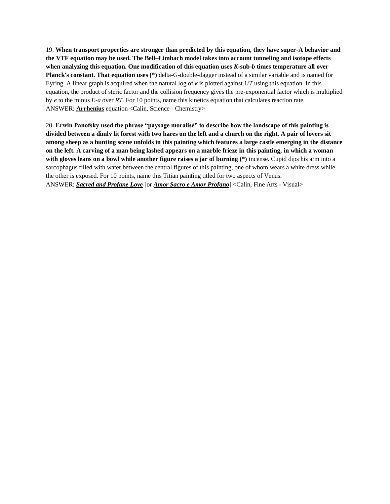19. **When transport properties are stronger than predicted by this equation, they have super-A behavior and the VTF equation may be used. The Bell–Limbach model takes into account tunneling and isotope effects when analyzing this equation. One modification of this equation uses** *K***-sub-***b* **times temperature all over Planck's constant. That equation uses (\*)** delta-G-double-dagger instead of a similar variable and is named for Eyring. A linear graph is acquired when the natural log of *k* is plotted against 1/*T* using this equation. In this equation, the product of steric factor and the collision frequency gives the pre-exponential factor which is multiplied by *e* to the minus *E-a* over *RT*. For 10 points, name this kinetics equation that calculates reaction rate. ANSWER: **Arrhenius** equation <Calin, Science - Chemistry>

20. **Erwin Panofsky used the phrase "paysage moralisé" to describe how the landscape of this painting is divided between a dimly lit forest with two hares on the left and a church on the right. A pair of lovers sit among sheep as a hunting scene unfolds in this painting which features a large castle emerging in the distance on the left. A carving of a man being lashed appears on a marble frieze in this painting, in which a woman with gloves leans on a bowl while another figure raises a jar of burning (\*)** incense**.** Cupid dips his arm into a sarcophagus filled with water between the central figures of this painting, one of whom wears a white dress while the other is exposed. For 10 points, name this Titian painting titled for two aspects of Venus. ANSWER: *Sacred and Profane Love* [or *Amor Sacro e Amor Profano*] <Calin, Fine Arts - Visual>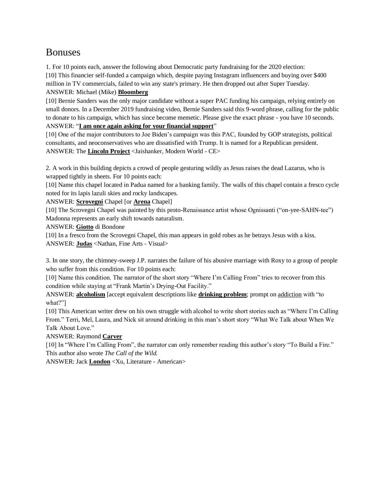# Bonuses

1. For 10 points each, answer the following about Democratic party fundraising for the 2020 election: [10] This financier self-funded a campaign which, despite paying Instagram influencers and buying over \$400 million in TV commercials, failed to win any state's primary. He then dropped out after Super Tuesday. ANSWER: Michael (Mike) **Bloomberg**

[10] Bernie Sanders was the only major candidate without a super PAC funding his campaign, relying entirely on small donors. In a December 2019 fundraising video, Bernie Sanders said this 9-word phrase, calling for the public to donate to his campaign, which has since become memetic. Please give the exact phrase - you have 10 seconds. ANSWER: "**I am once again asking for your financial support**"

[10] One of the major contributors to Joe Biden's campaign was this PAC, founded by GOP strategists, political consultants, and neoconservatives who are dissatisfied with Trump. It is named for a Republican president. ANSWER: The **Lincoln Project** <Jaishanker, Modern World - CE>

2. A work in this building depicts a crowd of people gesturing wildly as Jesus raises the dead Lazarus, who is wrapped tightly in sheets. For 10 points each:

[10] Name this chapel located in Padua named for a banking family. The walls of this chapel contain a fresco cycle noted for its lapis lazuli skies and rocky landscapes.

ANSWER: **Scrovegni** Chapel [or **Arena** Chapel]

[10] The Scrovegni Chapel was painted by this proto-Renaissance artist whose Ognissanti ("on-yee-SAHN-tee") Madonna represents an early shift towards naturalism.

ANSWER: **Giotto** di Bondone

[10] In a fresco from the Scrovegni Chapel, this man appears in gold robes as he betrays Jesus with a kiss. ANSWER: **Judas** <Nathan, Fine Arts - Visual>

3. In one story, the chimney-sweep J.P. narrates the failure of his abusive marriage with Roxy to a group of people who suffer from this condition. For 10 points each:

[10] Name this condition. The narrator of the short story "Where I'm Calling From" tries to recover from this condition while staying at "Frank Martin's Drying-Out Facility."

ANSWER: **alcoholism** [accept equivalent descriptions like **drinking problem**; prompt on addiction with "to what?"]

[10] This American writer drew on his own struggle with alcohol to write short stories such as "Where I'm Calling From." Terri, Mel, Laura, and Nick sit around drinking in this man's short story "What We Talk about When We Talk About Love."

ANSWER: Raymond **Carver**

[10] In "Where I'm Calling From", the narrator can only remember reading this author's story "To Build a Fire." This author also wrote *The Call of the Wild.* 

ANSWER: Jack **London** <Xu, Literature - American>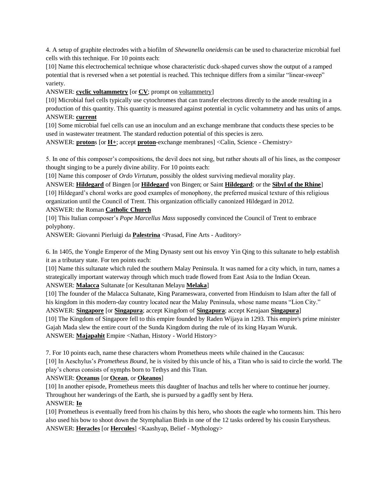4. A setup of graphite electrodes with a biofilm of *Shewanella oneidensis* can be used to characterize microbial fuel cells with this technique. For 10 points each:

[10] Name this electrochemical technique whose characteristic duck-shaped curves show the output of a ramped potential that is reversed when a set potential is reached. This technique differs from a similar "linear-sweep" variety.

ANSWER: **cyclic voltammetry** [or **CV**; prompt on voltammetry]

[10] Microbial fuel cells typically use cytochromes that can transfer electrons directly to the anode resulting in a production of this quantity. This quantity is measured against potential in cyclic voltammetry and has units of amps. ANSWER: **current**

[10] Some microbial fuel cells can use an inoculum and an exchange membrane that conducts these species to be used in wastewater treatment. The standard reduction potential of this species is zero.

ANSWER: **proton**s [or **H+**; accept **proton**-exchange membranes] <Calin, Science - Chemistry>

5. In one of this composer's compositions, the devil does not sing, but rather shouts all of his lines, as the composer thought singing to be a purely divine ability. For 10 points each:

[10] Name this composer of *Ordo Virtutum*, possibly the oldest surviving medieval morality play.

ANSWER: **Hildegard** of Bingen [or **Hildegard** von Bingen; or Saint **Hildegard**; or the **Sibyl of the Rhine**] [10] Hildegard's choral works are good examples of monophony, the preferred musical texture of this religious organization until the Council of Trent. This organization officially canonized Hildegard in 2012. ANSWER: the Roman **Catholic Church**

[10] This Italian composer's *Pope Marcellus Mass* supposedly convinced the Council of Trent to embrace polyphony.

ANSWER: Giovanni Pierluigi da **Palestrina** <Prasad, Fine Arts - Auditory>

6. In 1405, the Yongle Emperor of the Ming Dynasty sent out his envoy Yin Qing to this sultanate to help establish it as a tributary state. For ten points each:

[10] Name this sultanate which ruled the southern Malay Peninsula. It was named for a city which, in turn, names a strategically important waterway through which much trade flowed from East Asia to the Indian Ocean. ANSWER: **Malacca** Sultanate [or Kesultanan Melayu **Melaka**]

[10] The founder of the Malacca Sultanate, King Parameswara, converted from Hinduism to Islam after the fall of his kingdom in this modern-day country located near the Malay Peninsula, whose name means "Lion City."

ANSWER: **Singapore** [or **Singapura**; accept Kingdom of **Singapura**; accept Kerajaan **Singapura**]

[10] The Kingdom of Singapore fell to this empire founded by Raden Wijaya in 1293. This empire's prime minister Gajah Mada slew the entire court of the Sunda Kingdom during the rule of its king Hayam Wuruk. ANSWER: **Majapahit** Empire <Nathan, History - World History>

7. For 10 points each, name these characters whom Prometheus meets while chained in the Caucasus:

[10] In Aeschylus's *Prometheus Bound*, he is visited by this uncle of his, a Titan who is said to circle the world. The play's chorus consists of nymphs born to Tethys and this Titan.

ANSWER: **Oceanus** [or **Ocean**, or **Okeanos**]

[10] In another episode, Prometheus meets this daughter of Inachus and tells her where to continue her journey. Throughout her wanderings of the Earth, she is pursued by a gadfly sent by Hera.

#### ANSWER: **Io**

[10] Prometheus is eventually freed from his chains by this hero, who shoots the eagle who torments him. This hero also used his bow to shoot down the Stymphalian Birds in one of the 12 tasks ordered by his cousin Eurystheus. ANSWER: **Heracles** [or **Hercules**] <Kaashyap, Belief - Mythology>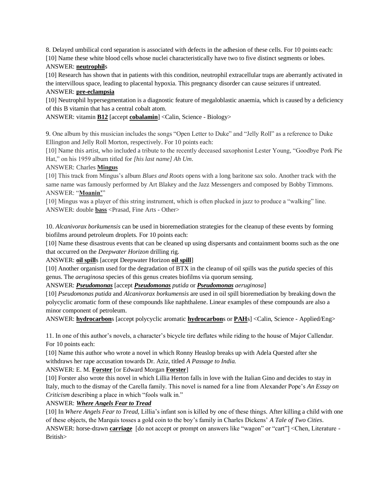8. Delayed umbilical cord separation is associated with defects in the adhesion of these cells. For 10 points each: [10] Name these white blood cells whose nuclei characteristically have two to five distinct segments or lobes.

#### ANSWER: **neutrophil**s

[10] Research has shown that in patients with this condition, neutrophil extracellular traps are aberrantly activated in the intervillous space, leading to placental hypoxia. This pregnancy disorder can cause seizures if untreated.

## ANSWER: **pre-eclampsia**

[10] Neutrophil hypersegmentation is a diagnostic feature of megaloblastic anaemia, which is caused by a deficiency of this B vitamin that has a central cobalt atom.

ANSWER: vitamin **B12** [accept **cobalamin**] <Calin, Science - Biology>

9. One album by this musician includes the songs "Open Letter to Duke" and "Jelly Roll" as a reference to Duke Ellington and Jelly Roll Morton, respectively. For 10 points each:

[10] Name this artist, who included a tribute to the recently deceased saxophonist Lester Young, "Goodbye Pork Pie Hat," on his 1959 album titled for *[his last name] Ah Um*.

ANSWER: Charles **Mingus**

[10] This track from Mingus's album *Blues and Roots* opens with a long baritone sax solo. Another track with the same name was famously performed by Art Blakey and the Jazz Messengers and composed by Bobby Timmons. ANSWER: "**Moanin'**"

[10] Mingus was a player of this string instrument, which is often plucked in jazz to produce a "walking" line. ANSWER: double **bass** <Prasad, Fine Arts - Other>

10. *Alcanivorax borkumensis* can be used in bioremediation strategies for the cleanup of these events by forming biofilms around petroleum droplets. For 10 points each:

[10] Name these disastrous events that can be cleaned up using dispersants and containment booms such as the one that occurred on the *Deepwater Horizon* drilling rig.

ANSWER: **oil spill**s [accept Deepwater Horizon **oil spill**]

[10] Another organism used for the degradation of BTX in the cleanup of oil spills was the *putida* species of this genus. The *aeruginosa* species of this genus creates biofilms via quorum sensing.

ANSWER: *Pseudomonas* [accept *Pseudomonas putida* or *Pseudomonas aeruginosa*]

[10] *Pseudomonas putida* and *Alcanivorax borkumensis* are used in oil spill bioremediation by breaking down the polycyclic aromatic form of these compounds like naphthalene. Linear examples of these compounds are also a minor component of petroleum.

ANSWER: **hydrocarbon**s [accept polycyclic aromatic **hydrocarbon**s or **PAH**s] <Calin, Science - Applied/Eng>

11. In one of this author's novels, a character's bicycle tire deflates while riding to the house of Major Callendar. For 10 points each:

[10] Name this author who wrote a novel in which Ronny Heaslop breaks up with Adela Quested after she withdraws her rape accusation towards Dr. Aziz, titled *A Passage to India.*

## ANSWER: E. M. **Forster** [or Edward Morgan **Forster**]

[10] Forster also wrote this novel in which Lillia Herton falls in love with the Italian Gino and decides to stay in Italy, much to the dismay of the Carella family. This novel is named for a line from Alexander Pope's *An Essay on Criticism* describing a place in which "fools walk in."

## ANSWER: *Where Angels Fear to Tread*

[10] In *Where Angels Fear to Tread,* Lillia's infant son is killed by one of these things. After killing a child with one of these objects, the Marquis tosses a gold coin to the boy's family in Charles Dickens' *A Tale of Two Cities*. ANSWER: horse-drawn **carriage** [do not accept or prompt on answers like "wagon" or "cart"] <Chen, Literature - British>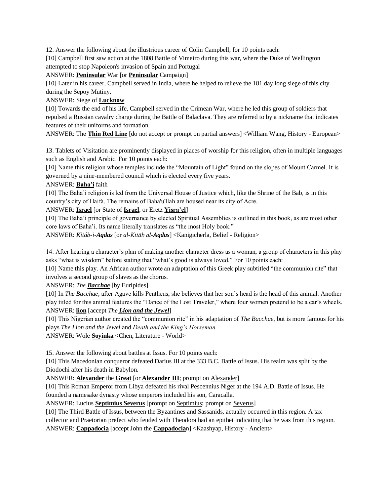12. Answer the following about the illustrious career of Colin Campbell, for 10 points each:

[10] Campbell first saw action at the 1808 Battle of Vimeiro during this war, where the Duke of Wellington attempted to stop Napoleon's invasion of Spain and Portugal

ANSWER: **Peninsular** War [or **Peninsular** Campaign]

[10] Later in his career, Campbell served in India, where he helped to relieve the 181 day long siege of this city during the Sepoy Mutiny.

ANSWER: Siege of **Lucknow**

[10] Towards the end of his life, Campbell served in the Crimean War, where he led this group of soldiers that repulsed a Russian cavalry charge during the Battle of Balaclava. They are referred to by a nickname that indicates features of their uniforms and formation.

ANSWER: The **Thin Red Line** [do not accept or prompt on partial answers] <William Wang, History - European>

13. Tablets of Visitation are prominently displayed in places of worship for this religion, often in multiple languages such as English and Arabic. For 10 points each:

[10] Name this religion whose temples include the "Mountain of Light" found on the slopes of Mount Carmel. It is governed by a nine-membered council which is elected every five years.

#### ANSWER: **Baha'i** faith

[10] The Baha'i religion is led from the Universal House of Justice which, like the Shrine of the Bab, is in this country's city of Haifa. The remains of Baha'u'llah are housed near its city of Acre.

### ANSWER: **Israel** [or State of **Israel**, or Eretz **Yisra'el**]

[10] The Baha'i principle of governance by elected Spiritual Assemblies is outlined in this book, as are most other core laws of Baha'i. Its name literally translates as "the most Holy book."

ANSWER: *Kitáb-i-Aqdas* [or *al-Kitāb al-Aqdas*] <Kanigicherla, Belief - Religion>

14. After hearing a character's plan of making another character dress as a woman, a group of characters in this play asks "what is wisdom" before stating that "what's good is always loved." For 10 points each:

[10] Name this play. An African author wrote an adaptation of this Greek play subtitled "the communion rite" that involves a second group of slaves as the chorus.

ANSWER: *The Bacchae* [by Euripides]

[10] In *The Bacchae*, after Agave kills Pentheus, she believes that her son's head is the head of this animal. Another play titled for this animal features the "Dance of the Lost Traveler," where four women pretend to be a car's wheels. ANSWER: **lion** [accept *The Lion and the Jewel*]

[10] This Nigerian author created the "communion rite" in his adaptation of *The Bacchae,* but is more famous for his plays *The Lion and the Jewel* and *Death and the King's Horseman.* 

ANSWER: Wole **Soyinka** <Chen, Literature - World>

15. Answer the following about battles at Issus. For 10 points each:

[10] This Macedonian conqueror defeated Darius III at the 333 B.C. Battle of Issus. His realm was split by the Diodochi after his death in Babylon.

ANSWER: **Alexander** the **Great** [or **Alexander III**; prompt on Alexander]

[10] This Roman Emperor from Libya defeated his rival Pescennius Niger at the 194 A.D. Battle of Issus. He founded a namesake dynasty whose emperors included his son, Caracalla.

ANSWER: Lucius **Septimius Severus** [prompt on Septimius; prompt on Severus]

[10] The Third Battle of Issus, between the Byzantines and Sassanids, actually occurred in this region. A tax collector and Praetorian prefect who feuded with Theodora had an epithet indicating that he was from this region. ANSWER: **Cappadocia** [accept John the **Cappadocia**n] <Kaashyap, History - Ancient>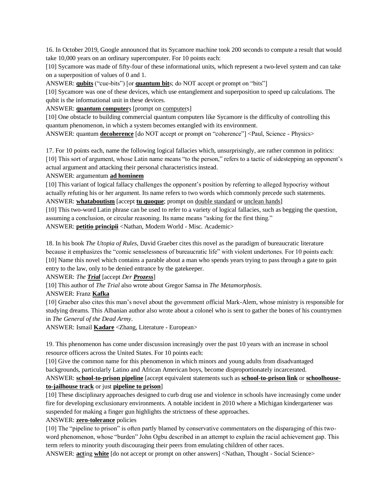16. In October 2019, Google announced that its Sycamore machine took 200 seconds to compute a result that would take 10,000 years on an ordinary supercomputer. For 10 points each:

[10] Sycamore was made of fifty-four of these informational units, which represent a two-level system and can take on a superposition of values of 0 and 1.

ANSWER: **qubits** ("cue-bits") [or **quantum bit**s; do NOT accept or prompt on "bits"]

[10] Sycamore was one of these devices, which use entanglement and superposition to speed up calculations. The qubit is the informational unit in these devices.

ANSWER: **quantum computer**s [prompt on computers]

[10] One obstacle to building commercial quantum computers like Sycamore is the difficulty of controlling this quantum phenomenon, in which a system becomes entangled with its environment.

ANSWER: quantum **decoherence** [do NOT accept or prompt on "coherence"] <Paul, Science - Physics>

17. For 10 points each, name the following logical fallacies which, unsurprisingly, are rather common in politics: [10] This sort of argument, whose Latin name means "to the person," refers to a tactic of sidestepping an opponent's actual argument and attacking their personal characteristics instead.

ANSWER: argumentum **ad hominem**

[10] This variant of logical fallacy challenges the opponent's position by referring to alleged hypocrisy without actually refuting his or her argument. Its name refers to two words which commonly precede such statements. ANSWER: **whataboutism** [accept **tu quoque**; prompt on double standard or unclean hands]

[10] This two-word Latin phrase can be used to refer to a variety of logical fallacies, such as begging the question, assuming a conclusion, or circular reasoning. Its name means "asking for the first thing."

ANSWER: **petitio principii** <Nathan, Modern World - Misc. Academic>

18. In his book *The Utopia of Rules*, David Graeber cites this novel as the paradigm of bureaucratic literature because it emphasizes the "comic senselessness of bureaucratic life" with violent undertones. For 10 points each: [10] Name this novel which contains a parable about a man who spends years trying to pass through a gate to gain entry to the law, only to be denied entrance by the gatekeeper.

ANSWER: *The Trial* [accept *Der Prozess*]

[10] This author of *The Trial* also wrote about Gregor Samsa in *The Metamorphosis*.

ANSWER: Franz **Kafka**

[10] Graeber also cites this man's novel about the government official Mark-Alem, whose ministry is responsible for studying dreams. This Albanian author also wrote about a colonel who is sent to gather the bones of his countrymen in *The General of the Dead Army*.

ANSWER: Ismail **Kadare** <Zhang, Literature - European>

19. This phenomenon has come under discussion increasingly over the past 10 years with an increase in school resource officers across the United States. For 10 points each:

[10] Give the common name for this phenomenon in which minors and young adults from disadvantaged backgrounds, particularly Latino and African American boys, become disproportionately incarcerated.

#### ANSWER: **school-to-prison pipeline** [accept equivalent statements such as **school-to-prison link** or **schoolhouseto-jailhouse track** or just **pipeline to prison**]

[10] These disciplinary approaches designed to curb drug use and violence in schools have increasingly come under fire for developing exclusionary environments. A notable incident in 2010 where a Michigan kindergartener was suspended for making a finger gun highlights the strictness of these approaches.

#### ANSWER: **zero-tolerance** policies

[10] The "pipeline to prison" is often partly blamed by conservative commentators on the disparaging of this twoword phenomenon, whose "burden" John Ogbu described in an attempt to explain the racial achievement gap. This term refers to minority youth discouraging their peers from emulating children of other races.

ANSWER: **acting white** [do not accept or prompt on other answers] <Nathan, Thought - Social Science>